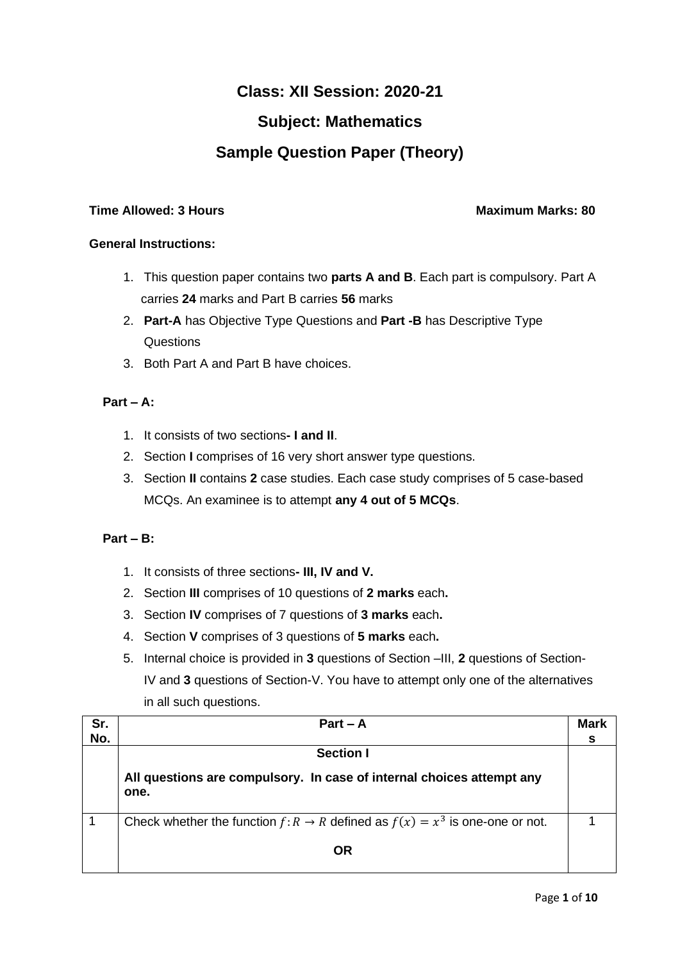# **Class: XII Session: 2020-21**

## **Subject: Mathematics**

# **Sample Question Paper (Theory)**

### **Time Allowed: 3 Hours Maximum Marks: 80**

### **General Instructions:**

- 1. This question paper contains two **parts A and B**. Each part is compulsory. Part A carries **24** marks and Part B carries **56** marks
- 2. **Part-A** has Objective Type Questions and **Part -B** has Descriptive Type **Questions**
- 3. Both Part A and Part B have choices.

### **Part – A:**

- 1. It consists of two sections**- I and II**.
- 2. Section **I** comprises of 16 very short answer type questions.
- 3. Section **II** contains **2** case studies. Each case study comprises of 5 case-based MCQs. An examinee is to attempt **any 4 out of 5 MCQs**.

### **Part – B:**

- 1. It consists of three sections**- III, IV and V.**
- 2. Section **III** comprises of 10 questions of **2 marks** each**.**
- 3. Section **IV** comprises of 7 questions of **3 marks** each**.**
- 4. Section **V** comprises of 3 questions of **5 marks** each**.**
- 5. Internal choice is provided in **3** questions of Section –III, **2** questions of Section-IV and **3** questions of Section-V. You have to attempt only one of the alternatives in all such questions.

| Sr. | $Part - A$                                                                         | <b>Mark</b> |
|-----|------------------------------------------------------------------------------------|-------------|
| No. |                                                                                    |             |
|     | <b>Section I</b>                                                                   |             |
|     | All questions are compulsory. In case of internal choices attempt any<br>one.      |             |
|     | Check whether the function $f: R \to R$ defined as $f(x) = x^3$ is one-one or not. |             |
|     | OR                                                                                 |             |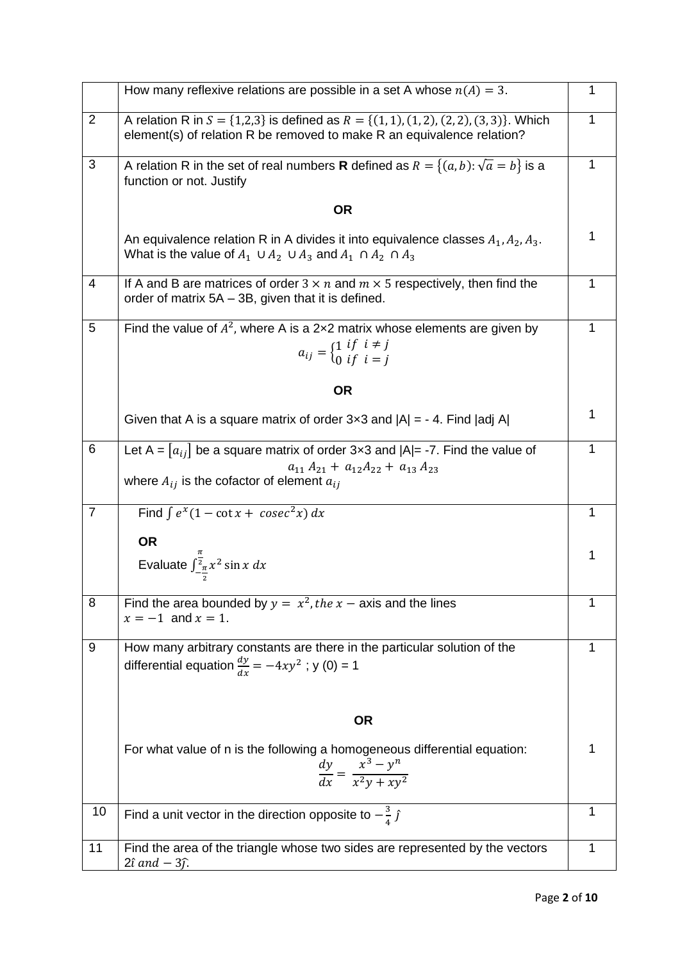|                | How many reflexive relations are possible in a set A whose $n(A) = 3$ .                                                                                               | 1            |
|----------------|-----------------------------------------------------------------------------------------------------------------------------------------------------------------------|--------------|
| $\overline{2}$ | A relation R in $S = \{1,2,3\}$ is defined as $R = \{(1,1), (1,2), (2,2), (3,3)\}$ . Which<br>element(s) of relation R be removed to make R an equivalence relation?  | 1            |
| 3              | A relation R in the set of real numbers <b>R</b> defined as $R = \{(a, b): \sqrt{a} = b\}$ is a<br>function or not. Justify                                           | 1            |
|                | <b>OR</b>                                                                                                                                                             |              |
|                | An equivalence relation R in A divides it into equivalence classes $A_1, A_2, A_3$ .<br>What is the value of $A_1 \cup A_2 \cup A_3$ and $A_1 \cap A_2 \cap A_3$      | 1            |
| 4              | If A and B are matrices of order $3 \times n$ and $m \times 5$ respectively, then find the<br>order of matrix 5A – 3B, given that it is defined.                      | $\mathbf{1}$ |
| 5              | Find the value of $A^2$ , where A is a 2x2 matrix whose elements are given by<br>$a_{ij} = \begin{cases} 1 & \text{if } i \neq j \\ 0 & \text{if } i = j \end{cases}$ | 1            |
|                | <b>OR</b>                                                                                                                                                             |              |
|                | Given that A is a square matrix of order $3 \times 3$ and $ A  = -4$ . Find  adj A                                                                                    | 1            |
| 6              | Let A = $[a_{ij}]$ be a square matrix of order 3x3 and $ A = -7$ . Find the value of<br>$a_{11} A_{21} + a_{12} A_{22} + a_{13} A_{23}$                               | 1            |
|                | where $A_{ij}$ is the cofactor of element $a_{ij}$                                                                                                                    |              |
| $\overline{7}$ | Find $\int e^x(1-\cot x + \csc^2 x) dx$                                                                                                                               | 1            |
|                | <b>OR</b>                                                                                                                                                             | 1            |
|                | Evaluate $\int_{-\frac{\pi}{2}}^{\frac{\pi}{2}} x^2 \sin x \, dx$                                                                                                     |              |
| 8              | Find the area bounded by $y = x^2$ , the $x -$ axis and the lines<br>$x = -1$ and $x = 1$ .                                                                           | 1            |
| 9              | How many arbitrary constants are there in the particular solution of the<br>differential equation $\frac{dy}{dx} = -4xy^2$ ; y (0) = 1                                | 1            |
|                | <b>OR</b>                                                                                                                                                             |              |
|                | For what value of n is the following a homogeneous differential equation:<br>$\frac{dy}{dx} = \frac{x^3 - y^n}{x^2y + xy^2}$                                          | 1            |
| 10             | Find a unit vector in the direction opposite to $-\frac{3}{4}$ $\hat{j}$                                                                                              | 1            |
| 11             | Find the area of the triangle whose two sides are represented by the vectors<br>$2\hat{\iota}$ and $-3\hat{\jmath}$ .                                                 | 1            |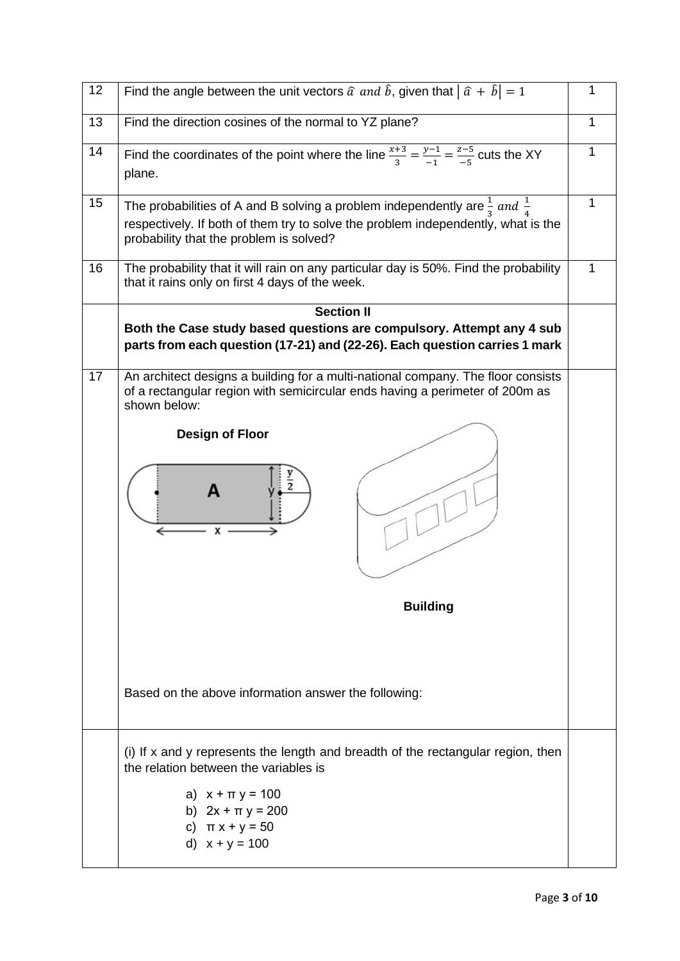| 12 | Find the angle between the unit vectors $\hat{a}$ and $\hat{b}$ , given that $ \hat{a} + \hat{b}  = 1$                                                                                                                           |   |
|----|----------------------------------------------------------------------------------------------------------------------------------------------------------------------------------------------------------------------------------|---|
| 13 | Find the direction cosines of the normal to YZ plane?                                                                                                                                                                            | 1 |
| 14 | Find the coordinates of the point where the line $\frac{x+3}{3} = \frac{y-1}{-1} = \frac{z-5}{-5}$ cuts the XY<br>plane.                                                                                                         |   |
| 15 | The probabilities of A and B solving a problem independently are $\frac{1}{3}$ and $\frac{1}{4}$<br>respectively. If both of them try to solve the problem independently, what is the<br>probability that the problem is solved? | 1 |
| 16 | The probability that it will rain on any particular day is 50%. Find the probability<br>that it rains only on first 4 days of the week.                                                                                          |   |
|    | <b>Section II</b>                                                                                                                                                                                                                |   |
|    | Both the Case study based questions are compulsory. Attempt any 4 sub<br>parts from each question (17-21) and (22-26). Each question carries 1 mark                                                                              |   |
| 17 | An architect designs a building for a multi-national company. The floor consists<br>of a rectangular region with semicircular ends having a perimeter of 200m as<br>shown below:                                                 |   |
|    | <b>Design of Floor</b>                                                                                                                                                                                                           |   |
|    |                                                                                                                                                                                                                                  |   |
|    | <b>Building</b>                                                                                                                                                                                                                  |   |
|    | Based on the above information answer the following:                                                                                                                                                                             |   |
|    | (i) If x and y represents the length and breadth of the rectangular region, then<br>the relation between the variables is                                                                                                        |   |
|    | a) $x + \pi y = 100$<br>b) $2x + \pi y = 200$<br>c) $\pi x + y = 50$<br>d) $x + y = 100$                                                                                                                                         |   |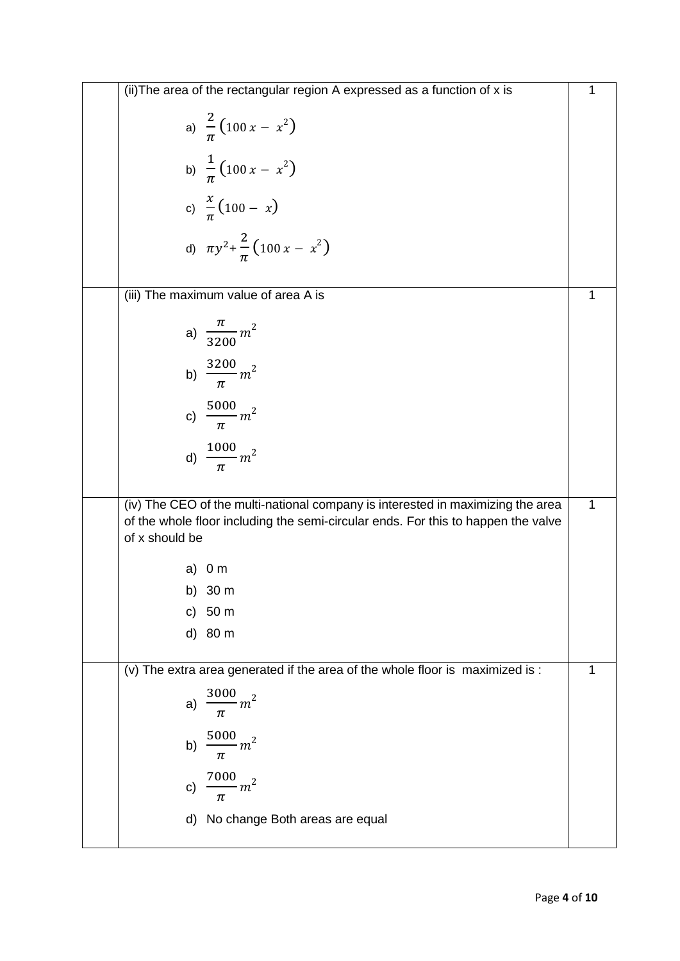|                | (ii) The area of the rectangular region A expressed as a function of x is                                                                                            | 1 |
|----------------|----------------------------------------------------------------------------------------------------------------------------------------------------------------------|---|
|                | a) $\frac{2}{\pi} (100 x - x^2)$                                                                                                                                     |   |
|                | b) $\frac{1}{\pi}$ (100 x - x <sup>2</sup> )                                                                                                                         |   |
|                | c) $\frac{x}{\pi}(100 - x)$                                                                                                                                          |   |
|                | d) $\pi y^2 + \frac{2}{\pi} (100 x - x^2)$                                                                                                                           |   |
|                | (iii) The maximum value of area A is                                                                                                                                 | 1 |
|                | a) $\frac{\pi}{3200}m^2$                                                                                                                                             |   |
|                | b) $\frac{3200}{\pi}m^2$                                                                                                                                             |   |
|                | c) $\frac{5000}{\pi} m^2$                                                                                                                                            |   |
|                | d) $\frac{1000}{\pi}m^2$                                                                                                                                             |   |
| of x should be | (iv) The CEO of the multi-national company is interested in maximizing the area<br>of the whole floor including the semi-circular ends. For this to happen the valve | 1 |
| a)             | 0 <sub>m</sub>                                                                                                                                                       |   |
|                | b) 30 m                                                                                                                                                              |   |
|                | c) 50 m                                                                                                                                                              |   |
|                | d) 80 m                                                                                                                                                              |   |
|                | (v) The extra area generated if the area of the whole floor is maximized is :                                                                                        | 1 |
| a)             | $\frac{3000}{\pi}m^2$                                                                                                                                                |   |
| b)             | $\frac{5000}{\pi} m^2$                                                                                                                                               |   |
| C)             | $\frac{7000}{ } m^2$<br>π                                                                                                                                            |   |
|                | d) No change Both areas are equal                                                                                                                                    |   |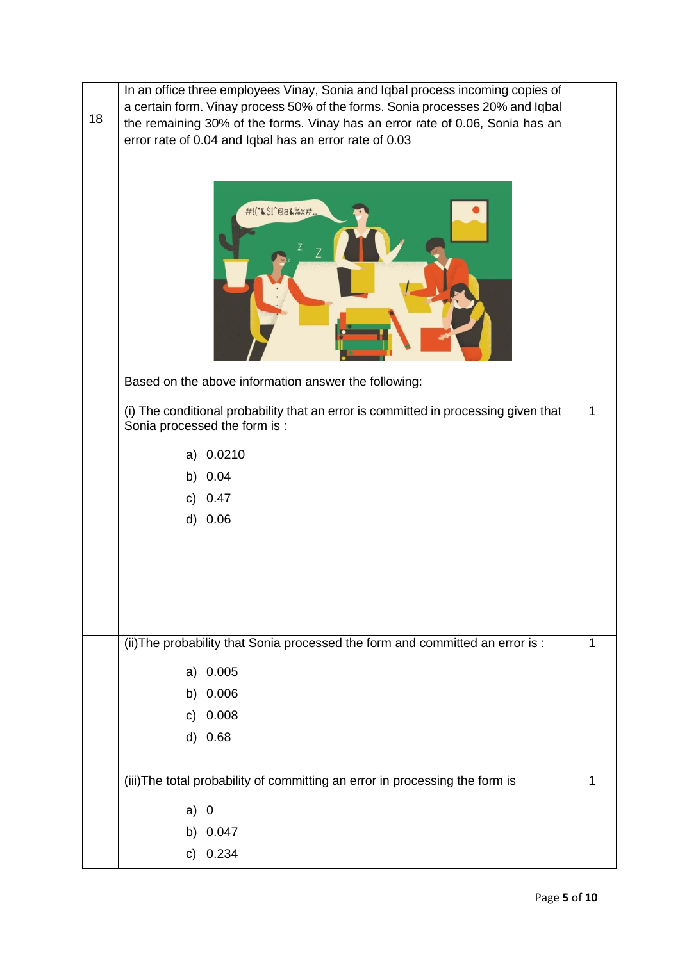| 18 | In an office three employees Vinay, Sonia and Iqbal process incoming copies of<br>a certain form. Vinay process 50% of the forms. Sonia processes 20% and Iqbal<br>the remaining 30% of the forms. Vinay has an error rate of 0.06, Sonia has an<br>error rate of 0.04 and Iqbal has an error rate of 0.03<br>#!("&\$!^@a&%x# |   |
|----|-------------------------------------------------------------------------------------------------------------------------------------------------------------------------------------------------------------------------------------------------------------------------------------------------------------------------------|---|
|    | Based on the above information answer the following:                                                                                                                                                                                                                                                                          |   |
|    | (i) The conditional probability that an error is committed in processing given that<br>Sonia processed the form is :<br>0.0210<br>a)<br>b) 0.04<br>0.47<br>c)<br>d) 0.06                                                                                                                                                      | 1 |
|    | (ii) The probability that Sonia processed the form and committed an error is :                                                                                                                                                                                                                                                | 1 |
|    | a) 0.005                                                                                                                                                                                                                                                                                                                      |   |
|    | b) 0.006                                                                                                                                                                                                                                                                                                                      |   |
|    | c) $0.008$                                                                                                                                                                                                                                                                                                                    |   |
|    | d) 0.68                                                                                                                                                                                                                                                                                                                       |   |
|    | (iii) The total probability of committing an error in processing the form is                                                                                                                                                                                                                                                  | 1 |
|    | a) 0                                                                                                                                                                                                                                                                                                                          |   |
|    | b) 0.047                                                                                                                                                                                                                                                                                                                      |   |
|    | c) $0.234$                                                                                                                                                                                                                                                                                                                    |   |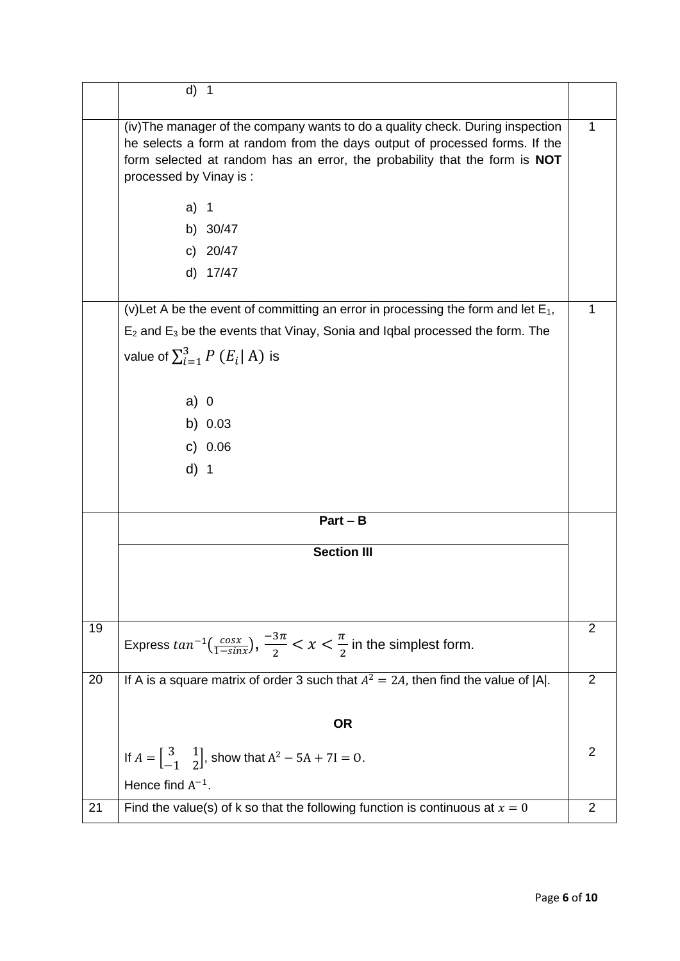|    | $d)$ 1                                                                                                                                                                                                                                                                                                                                              |                |
|----|-----------------------------------------------------------------------------------------------------------------------------------------------------------------------------------------------------------------------------------------------------------------------------------------------------------------------------------------------------|----------------|
|    | (iv) The manager of the company wants to do a quality check. During inspection<br>he selects a form at random from the days output of processed forms. If the<br>form selected at random has an error, the probability that the form is <b>NOT</b><br>processed by Vinay is:<br>a)<br>$\overline{\mathbf{1}}$<br>b) 30/47<br>c) $20/47$<br>d) 17/47 | 1              |
|    | (v) Let A be the event of committing an error in processing the form and let $E_1$ ,<br>$E_2$ and $E_3$ be the events that Vinay, Sonia and Iqbal processed the form. The<br>value of $\sum_{i=1}^{3} P(E_i   A)$ is<br>$a)$ 0<br>b) $0.03$<br>c) $0.06$<br>$d)$ 1                                                                                  | 1              |
|    | $Part - B$                                                                                                                                                                                                                                                                                                                                          |                |
|    | <b>Section III</b>                                                                                                                                                                                                                                                                                                                                  |                |
| 19 | Express $tan^{-1}(\frac{cos x}{1-sinx})$ , $\frac{-3\pi}{2} < x < \frac{\pi}{2}$ in the simplest form.                                                                                                                                                                                                                                              | 2              |
| 20 | If A is a square matrix of order 3 such that $A^2 = 2A$ , then find the value of  A .                                                                                                                                                                                                                                                               | $\overline{2}$ |
|    | <b>OR</b>                                                                                                                                                                                                                                                                                                                                           |                |
|    | If $A = \begin{bmatrix} 3 & 1 \\ -1 & 2 \end{bmatrix}$ , show that $A^2 - 5A + 7I = 0$ .                                                                                                                                                                                                                                                            | 2              |
|    | Hence find $A^{-1}$ .                                                                                                                                                                                                                                                                                                                               | $\overline{2}$ |
| 21 | Find the value(s) of k so that the following function is continuous at $x = 0$                                                                                                                                                                                                                                                                      |                |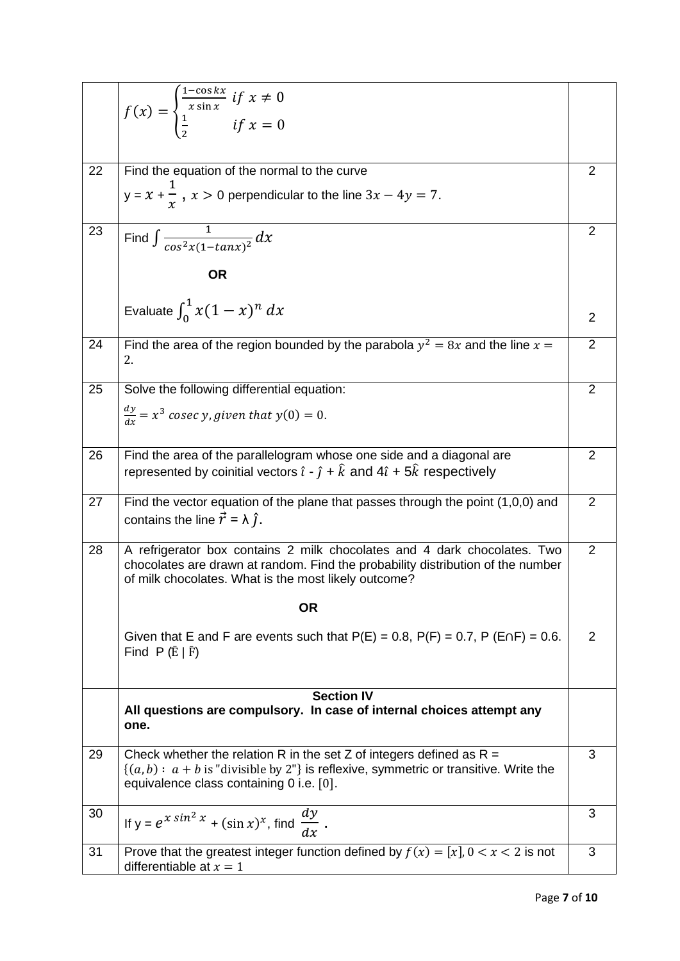|    | $f(x) = \begin{cases} \frac{1 - \cos \kappa x}{x \sin x} & \text{if } x \neq 0 \\ \frac{1}{x} & \text{if } x = 0 \end{cases}$                                                                                       |                |
|----|---------------------------------------------------------------------------------------------------------------------------------------------------------------------------------------------------------------------|----------------|
|    |                                                                                                                                                                                                                     |                |
| 22 | Find the equation of the normal to the curve                                                                                                                                                                        | $\overline{2}$ |
|    | $y = x + \frac{1}{x}$ , $x > 0$ perpendicular to the line $3x - 4y = 7$ .                                                                                                                                           |                |
| 23 | Find $\int \frac{1}{\cos^2 x (1 - \tan x)^2} dx$                                                                                                                                                                    | $\overline{2}$ |
|    | <b>OR</b>                                                                                                                                                                                                           |                |
|    | Evaluate $\int_0^1 x(1-x)^n dx$                                                                                                                                                                                     | 2              |
| 24 | Find the area of the region bounded by the parabola $y^2 = 8x$ and the line $x =$<br>2.                                                                                                                             | $\overline{2}$ |
| 25 | Solve the following differential equation:                                                                                                                                                                          | $\overline{2}$ |
|    | $\frac{dy}{dx}$ = x <sup>3</sup> cosec y, given that y(0) = 0.                                                                                                                                                      |                |
| 26 | Find the area of the parallelogram whose one side and a diagonal are<br>represented by coinitial vectors $\hat{i}$ - $\hat{j}$ + $\hat{k}$ and 4 $\hat{i}$ + 5 $\hat{k}$ respectively                               | $\overline{2}$ |
| 27 | Find the vector equation of the plane that passes through the point (1,0,0) and<br>contains the line $\vec{r} = \lambda \hat{j}$ .                                                                                  | $\overline{2}$ |
| 28 | A refrigerator box contains 2 milk chocolates and 4 dark chocolates. Two<br>chocolates are drawn at random. Find the probability distribution of the number<br>of milk chocolates. What is the most likely outcome? | $\overline{2}$ |
|    | <b>OR</b>                                                                                                                                                                                                           |                |
|    | Given that E and F are events such that $P(E) = 0.8$ , $P(F) = 0.7$ , $P(E \cap F) = 0.6$ .<br>Find $P(E   \bar{F})$                                                                                                | 2              |
|    | <b>Section IV</b>                                                                                                                                                                                                   |                |
|    | All questions are compulsory. In case of internal choices attempt any<br>one.                                                                                                                                       |                |
| 29 | Check whether the relation R in the set Z of integers defined as $R =$<br>$\{(a,b): a+b$ is "divisible by 2"} is reflexive, symmetric or transitive. Write the<br>equivalence class containing 0 i.e. [0].          | 3              |
| 30 | If $y = e^{x \sin^2 x} + (\sin x)^x$ , find $\frac{dy}{dx}$ .                                                                                                                                                       | 3              |
| 31 | Prove that the greatest integer function defined by $f(x) = [x]$ , $0 < x < 2$ is not<br>differentiable at $x = 1$                                                                                                  | 3              |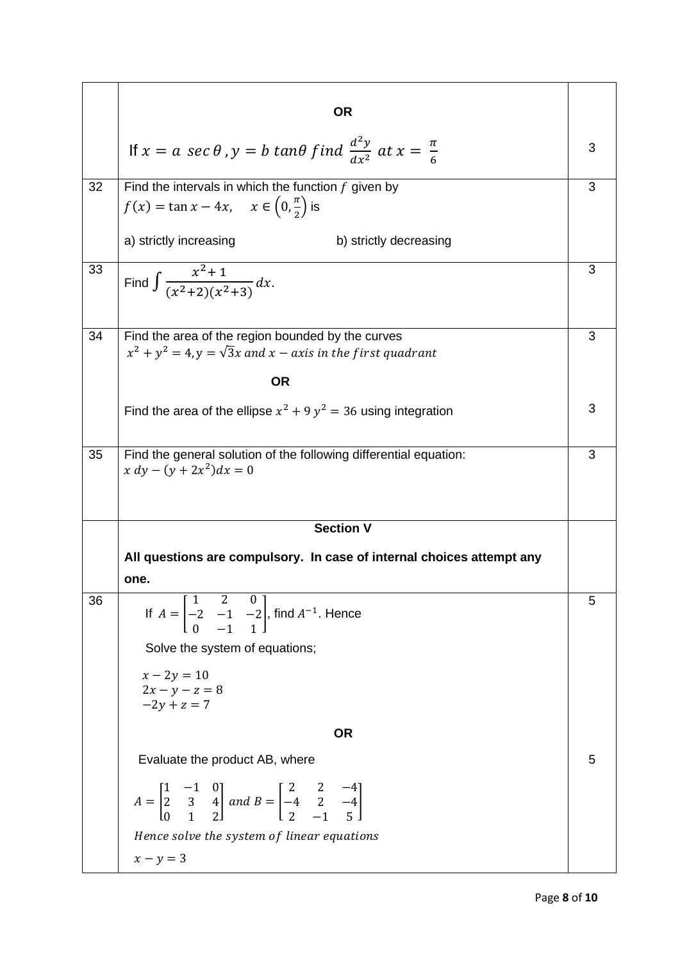|    | <b>OR</b>                                                                                                                                                                    |   |
|----|------------------------------------------------------------------------------------------------------------------------------------------------------------------------------|---|
|    | If $x = a \sec \theta$ , $y = b \tan \theta$ find $\frac{d^2y}{dx^2}$ at $x = \frac{\pi}{6}$                                                                                 | 3 |
| 32 | Find the intervals in which the function $f$ given by<br>$f(x) = \tan x - 4x$ , $x \in \left(0, \frac{\pi}{2}\right)$ is<br>a) strictly increasing<br>b) strictly decreasing | 3 |
| 33 | Find $\int \frac{x^2+1}{(x^2+2)(x^2+3)} dx$ .                                                                                                                                | 3 |
| 34 | Find the area of the region bounded by the curves<br>$x^{2} + y^{2} = 4$ , $y = \sqrt{3}x$ and $x - axis$ in the first quadrant<br><b>OR</b>                                 | 3 |
|    | Find the area of the ellipse $x^2 + 9y^2 = 36$ using integration                                                                                                             | 3 |
| 35 | Find the general solution of the following differential equation:<br>$x dy - (y + 2x^2) dx = 0$                                                                              | 3 |
|    | <b>Section V</b>                                                                                                                                                             |   |
|    | All questions are compulsory. In case of internal choices attempt any                                                                                                        |   |
|    | one.                                                                                                                                                                         |   |
| 36 | If $A = \begin{bmatrix} 1 & 2 & 0 \\ -2 & -1 & -2 \\ 0 & 1 & 1 \end{bmatrix}$ , find $A^{-1}$ . Hence<br>Solve the system of equations;                                      | 5 |
|    | $x - 2y = 10$<br>$2x - y - z = 8$<br>$-2y + z = 7$                                                                                                                           |   |
|    | <b>OR</b>                                                                                                                                                                    |   |
|    | Evaluate the product AB, where                                                                                                                                               | 5 |
|    | $A = \begin{bmatrix} 1 & -1 & 0 \\ 2 & 3 & 4 \\ 0 & 1 & 2 \end{bmatrix}$ and $B = \begin{bmatrix} 2 & 2 & -4 \\ -4 & 2 & -4 \\ 2 & -1 & 5 \end{bmatrix}$                     |   |
|    | Hence solve the system of linear equations                                                                                                                                   |   |
|    | $x - y = 3$                                                                                                                                                                  |   |